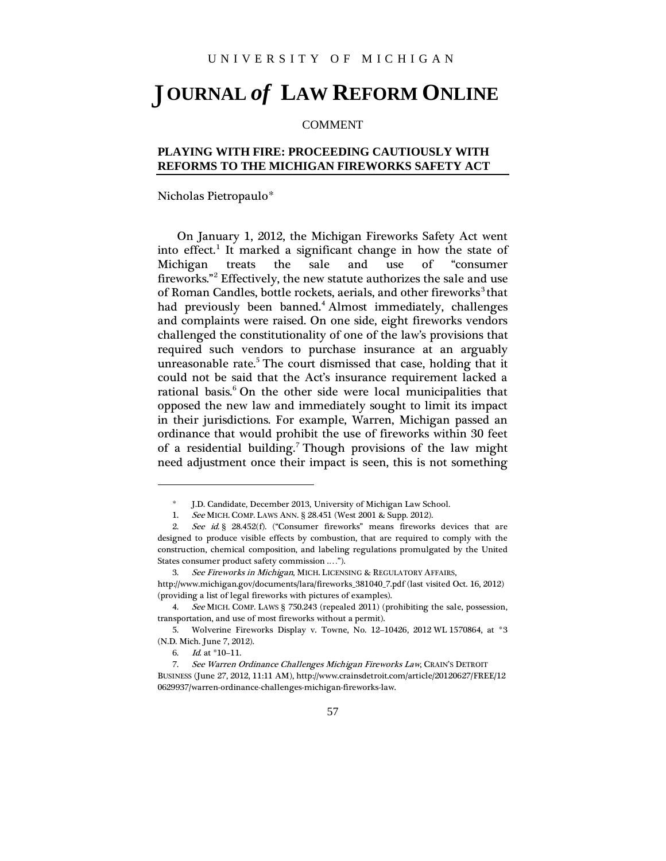## **OURNAL** *of* **LAW REFORM ONLINE** J

## COMMENT

## **PLAYING WITH FIRE: PROCEEDING CAUTIOUSLY WITH REFORMS TO THE MICHIGAN FIREWORKS SAFETY ACT**

Nicholas Pietropaulo[\\*](#page-0-0)

On January 1, 2012, the Michigan Fireworks Safety Act went into effect. [1](#page-0-1) It marked a significant change in how the state of Michigan treats the sale and use of "consumer fireworks." [2](#page-0-2) Effectively, the new statute authorizes the sale and use of Roman Candles, bottle rockets, aerials, and other fireworks<sup>[3](#page-0-3)</sup> that had previously been banned. [4](#page-0-4) Almost immediately, challenges and complaints were raised. On one side, eight fireworks vendors challenged the constitutionality of one of the law's provisions that required such vendors to purchase insurance at an arguably unreasonable rate. [5](#page-0-5) The court dismissed that case, holding that it could not be said that the Act's insurance requirement lacked a rational basis. [6](#page-0-6) On the other side were local municipalities that opposed the new law and immediately sought to limit its impact in their jurisdictions. For example, Warren, Michigan passed an ordinance that would prohibit the use of fireworks within 30 feet of a residential building. [7](#page-0-7) Though provisions of the law might need adjustment once their impact is seen, this is not something

1

<sup>\*</sup> J.D. Candidate, December 2013, University of Michigan Law School.

<sup>1.</sup> See MICH. COMP. LAWS ANN. § 28.451 (West 2001 & Supp. 2012).

<span id="page-0-2"></span><span id="page-0-1"></span><span id="page-0-0"></span><sup>2.</sup> See id. § 28.452(f). ("Consumer fireworks" means fireworks devices that are designed to produce visible effects by combustion, that are required to comply with the construction, chemical composition, and labeling regulations promulgated by the United States consumer product safety commission .…").

<sup>3.</sup> See Fireworks in Michigan, MICH. LICENSING & REGULATORY AFFAIRS,

<span id="page-0-3"></span>http://www.michigan.gov/documents/lara/fireworks\_381040\_7.pdf (last visited Oct. 16, 2012) (providing a list of legal fireworks with pictures of examples).

<span id="page-0-4"></span><sup>4.</sup> See MICH. COMP. LAWS § 750.243 (repealed 2011) (prohibiting the sale, possession, transportation, and use of most fireworks without a permit).

<span id="page-0-5"></span><sup>5.</sup> Wolverine Fireworks Display v. Towne, No. 12–10426, 2012 WL 1570864, at \*3 (N.D. Mich. June 7, 2012).

<sup>6.</sup> Id. at \*10–11.

<span id="page-0-7"></span><span id="page-0-6"></span><sup>7.</sup> See Warren Ordinance Challenges Michigan Fireworks Law, CRAIN'S DETROIT BUSINESS (June 27, 2012, 11:11 AM), http://www.crainsdetroit.com/article/20120627/FREE/12 0629937/warren-ordinance-challenges-michigan-fireworks-law.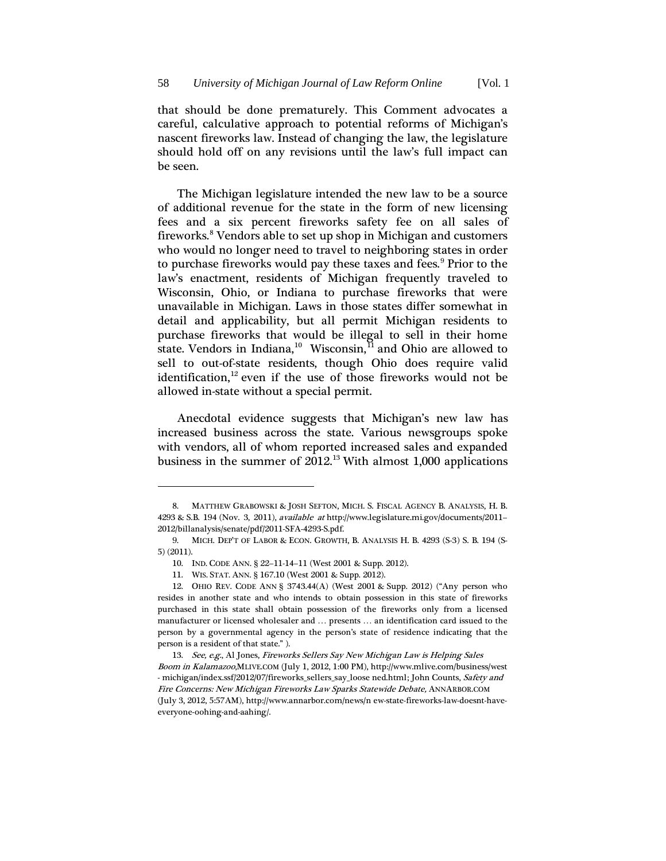that should be done prematurely. This Comment advocates a careful, calculative approach to potential reforms of Michigan's nascent fireworks law. Instead of changing the law, the legislature should hold off on any revisions until the law's full impact can be seen.

The Michigan legislature intended the new law to be a source of additional revenue for the state in the form of new licensing fees and a six percent fireworks safety fee on all sales of fireworks. [8](#page-1-0) Vendors able to set up shop in Michigan and customers who would no longer need to travel to neighboring states in order to purchase fireworks would pay these taxes and fees. [9](#page-1-1) Prior to the law's enactment, residents of Michigan frequently traveled to Wisconsin, Ohio, or Indiana to purchase fireworks that were unavailable in Michigan. Laws in those states differ somewhat in detail and applicability, but all permit Michigan residents to purchase fireworks that would be illegal to sell in their home state. Vendors in Indiana,<sup>[10](#page-1-2)</sup> Wisconsin,<sup>[11](#page-1-3)</sup> and Ohio are allowed to sell to out-of-state residents, though Ohio does require valid identification, [12](#page-1-4) even if the use of those fireworks would not be allowed in-state without a special permit.

Anecdotal evidence suggests that Michigan's new law has increased business across the state. Various newsgroups spoke with vendors, all of whom reported increased sales and expanded business in the summer of 2012. [13](#page-1-5) With almost 1,000 applications

**.** 

<span id="page-1-0"></span><sup>8.</sup> MATTHEW GRABOWSKI & JOSH SEFTON, MICH. S. FISCAL AGENCY B. ANALYSIS, H. B. 4293 & S.B. 194 (Nov. 3, 2011), available at http://www.legislature.mi.gov/documents/2011– 2012/billanalysis/senate/pdf/2011-SFA-4293-S.pdf.

<span id="page-1-2"></span><span id="page-1-1"></span><sup>9.</sup> MICH. DEP'T OF LABOR & ECON. GROWTH, B. ANALYSIS H. B. 4293 (S-3) S. B. 194 (S-5) (2011).

<sup>10.</sup> IND. CODE ANN. § 22–11-14–11 (West 2001 & Supp. 2012).

<sup>11.</sup> WIS. STAT. ANN. § 167.10 (West 2001 & Supp. 2012).

<span id="page-1-4"></span><span id="page-1-3"></span><sup>12.</sup> OHIO REV. CODE ANN § 3743.44(A) (West 2001 & Supp. 2012) ("Any person who resides in another state and who intends to obtain possession in this state of fireworks purchased in this state shall obtain possession of the fireworks only from a licensed manufacturer or licensed wholesaler and … presents … an identification card issued to the person by a governmental agency in the person's state of residence indicating that the person is a resident of that state." ).

<span id="page-1-5"></span><sup>13.</sup> See, e.g., Al Jones, Fireworks Sellers Say New Michigan Law is Helping Sales Boom in Kalamazoo,MLIVE.COM (July 1, 2012, 1:00 PM), http://www.mlive.com/business/west - michigan/index.ssf/2012/07/fireworks\_sellers\_say\_loose ned.html; John Counts, Safety and Fire Concerns: New Michigan Fireworks Law Sparks Statewide Debate, ANNARBOR.COM (July 3, 2012, 5:57AM), http://www.annarbor.com/news/n ew-state-fireworks-law-doesnt-haveeveryone-oohing-and-aahing/.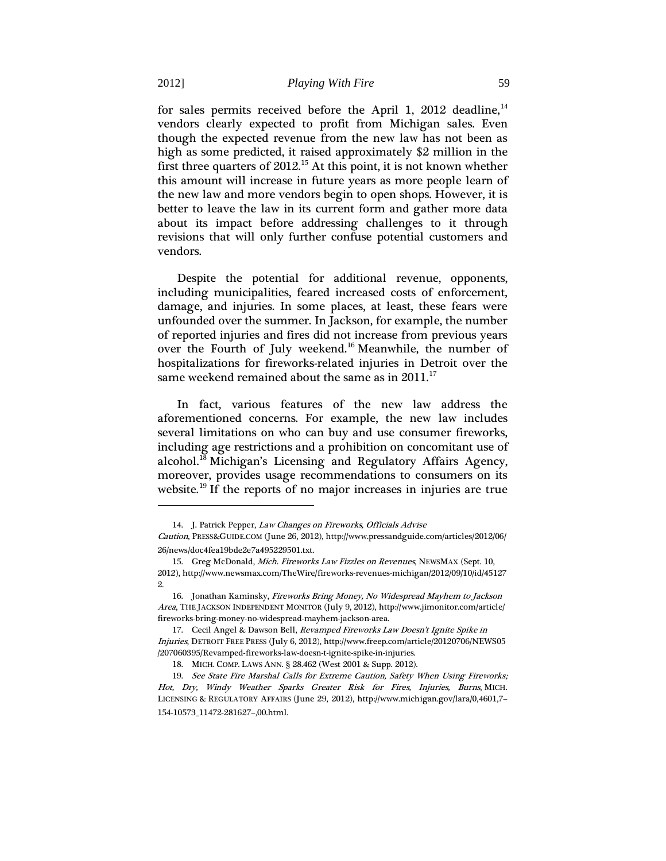for sales permits received before the April 1, 2012 deadline,<sup>[14](#page-2-0)</sup> vendors clearly expected to profit from Michigan sales. Even though the expected revenue from the new law has not been as high as some predicted, it raised approximately \$2 million in the first three quarters of 2012.<sup>[15](#page-2-1)</sup> At this point, it is not known whether this amount will increase in future years as more people learn of the new law and more vendors begin to open shops. However, it is better to leave the law in its current form and gather more data about its impact before addressing challenges to it through revisions that will only further confuse potential customers and vendors.

Despite the potential for additional revenue, opponents, including municipalities, feared increased costs of enforcement, damage, and injuries. In some places, at least, these fears were unfounded over the summer. In Jackson, for example, the number of reported injuries and fires did not increase from previous years over the Fourth of July weekend.<sup>[16](#page-2-2)</sup> Meanwhile, the number of hospitalizations for fireworks-related injuries in Detroit over the same weekend remained about the same as in  $2011.^{^{17}}$  $2011.^{^{17}}$  $2011.^{^{17}}$ 

In fact, various features of the new law address the aforementioned concerns. For example, the new law includes several limitations on who can buy and use consumer fireworks, including age restrictions and a prohibition on concomitant use of alcohol.<sup>[18](#page-2-4)</sup> Michigan's Licensing and Regulatory Affairs Agency, moreover, provides usage recommendations to consumers on its website.<sup>[19](#page-2-5)</sup> If the reports of no major increases in injuries are true

1

<sup>14.</sup> J. Patrick Pepper, Law Changes on Fireworks, Officials Advise

<span id="page-2-0"></span>Caution, PRESS&GUIDE.COM (June 26, 2012), http://www.pressandguide.com/articles/2012/06/ 26/news/doc4fea19bde2e7a495229501.txt.

<span id="page-2-1"></span><sup>15.</sup> Greg McDonald, Mich. Fireworks Law Fizzles on Revenues, NEWSMAX (Sept. 10, 2012), http://www.newsmax.com/TheWire/fireworks-revenues-michigan/2012/09/10/id/45127 2.

<span id="page-2-2"></span><sup>16.</sup> Jonathan Kaminsky, Fireworks Bring Money, No Widespread Mayhem to Jackson Area, THE JACKSON INDEPENDENT MONITOR (July 9, 2012), http://www.jimonitor.com/article/ fireworks-bring-money-no-widespread-mayhem-jackson-area.

<span id="page-2-3"></span><sup>17.</sup> Cecil Angel & Dawson Bell, Revamped Fireworks Law Doesn't Ignite Spike in Injuries, DETROIT FREE PRESS (July 6, 2012), http://www.freep.com/article/20120706/NEWS05 /207060395/Revamped-fireworks-law-doesn-t-ignite-spike-in-injuries.

<sup>18.</sup> MICH. COMP. LAWS ANN. § 28.462 (West 2001 & Supp. 2012).

<span id="page-2-5"></span><span id="page-2-4"></span><sup>19.</sup> See State Fire Marshal Calls for Extreme Caution, Safety When Using Fireworks; Hot, Dry, Windy Weather Sparks Greater Risk for Fires, Injuries, Burns, MICH. LICENSING & REGULATORY AFFAIRS (June 29, 2012), http://www.michigan.gov/lara/0,4601,7– 154-10573\_11472-281627–,00.html.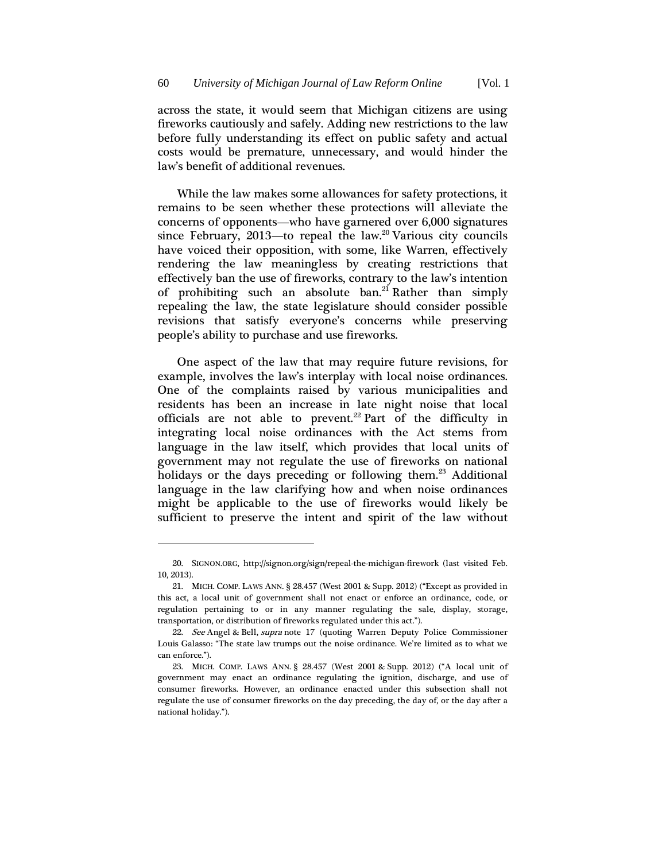across the state, it would seem that Michigan citizens are using fireworks cautiously and safely. Adding new restrictions to the law before fully understanding its effect on public safety and actual costs would be premature, unnecessary, and would hinder the law's benefit of additional revenues.

While the law makes some allowances for safety protections, it remains to be seen whether these protections will alleviate the concerns of opponents—who have garnered over 6,000 signatures since February, 2013—to repeal the law. [20](#page-3-0) Various city councils have voiced their opposition, with some, like Warren, effectively rendering the law meaningless by creating restrictions that effectively ban the use of fireworks, contrary to the law's intention of prohibiting such an absolute ban. [21](#page-3-1) Rather than simply repealing the law, the state legislature should consider possible revisions that satisfy everyone's concerns while preserving people's ability to purchase and use fireworks.

One aspect of the law that may require future revisions, for example, involves the law's interplay with local noise ordinances. One of the complaints raised by various municipalities and residents has been an increase in late night noise that local officials are not able to prevent.<sup>[22](#page-3-2)</sup> Part of the difficulty in integrating local noise ordinances with the Act stems from language in the law itself, which provides that local units of government may not regulate the use of fireworks on national holidays or the days preceding or following them.<sup>[23](#page-3-3)</sup> Additional language in the law clarifying how and when noise ordinances might be applicable to the use of fireworks would likely be sufficient to preserve the intent and spirit of the law without

**.** 

<span id="page-3-0"></span><sup>20.</sup> SIGNON.ORG, http://signon.org/sign/repeal-the-michigan-firework (last visited Feb. 10, 2013).

<span id="page-3-1"></span><sup>21.</sup> MICH. COMP. LAWS ANN. § 28.457 (West 2001 & Supp. 2012) ("Except as provided in this act, a local unit of government shall not enact or enforce an ordinance, code, or regulation pertaining to or in any manner regulating the sale, display, storage, transportation, or distribution of fireworks regulated under this act.").

<span id="page-3-2"></span><sup>22.</sup> See Angel & Bell, supra note 17 (quoting Warren Deputy Police Commissioner Louis Galasso: "The state law trumps out the noise ordinance. We're limited as to what we can enforce.").

<span id="page-3-3"></span><sup>23.</sup> MICH. COMP. LAWS ANN. § 28.457 (West 2001 & Supp. 2012) ("A local unit of government may enact an ordinance regulating the ignition, discharge, and use of consumer fireworks. However, an ordinance enacted under this subsection shall not regulate the use of consumer fireworks on the day preceding, the day of, or the day after a national holiday.").